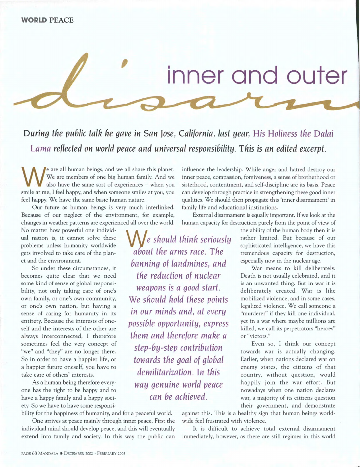

*During the public talk he gave in San Jose, California, last year,His Holiness the Dalai Lamareflected on world peace and universal responsibility. This is an edited excerpt.* 

**We** *should think seriously* 

*about the arms race. The* 

*banning of landmines, and the reduction of nuclear weapons is a good start.*  **We** *should hold these points* 

*in our minds and, at every possible opportunity, express them and therefore make a* 

*step-by-step contribution* 

*towards the goal of global demilitarization. In this* 

*way genuine world peace can be achieved.* 

We are all human beings, and we all share this planet.<br>We are members of one big human family. And we also have the same sort of experiences – when you smile at me, I feel happy, and when someone smiles at you, you eare all human beings, and we all share this planet. We are members of one big human family. And we also have the same sort of experiences — when you feel happy. We have the same basic human nature.

Our future as human beings is very much interlinked. Because of our neglect of the environment, for example, changes in weather patterns are experienced all over the world.

No matter how powerful one individual nation is, it cannot solve these problems unless humanity worldwide gets involved to take care of the planet and the environment.

So under these circumstances, it becomes quite clear that we need some kind of sense of global responsibility, not only taking care of one's own family, or one's own community, or one's own nation, but having a sense of caring for humanity in its entirety. Because the interests of oneself and the interests of the other are always interconnected, I therefore sometimes feel the very concept of "we" and "they" are no longer there. So in order to have a happier life, or a happier future oneself, you have to take care of others' interests.

As a human being therefore everyone has the right to be happy and to have a happy family and a happy society. So we have to have some responsi-

bility for the happiness of humanity, and for a peaceful world.

One arrives at peace mainly through inner peace. First the individual mind should develop peace, and this will eventually extend into family and society. In this way the public can

influence the leadership. While anger and hatred destroy our inner peace, compassion, forgiveness, a sense of brotherhood or sisterhood, contentment, and self-discipline are its basis. Peace can develop through practice in strengthening these good inner qualities. We should then propagate this 'inner disarmament' in family life and educational institutions.

External disarmament is equally important. If we look at the human capacity for destruction purely from the point of view of

> the ability of the human body then it is rather limited. But because of our sophisticated intelligence, we have this tremendous capacity for destruction, especially now in the nuclear age.

> War means to kill deliberately. Death is not usually celebrated, and it is an unwanted thing. But in war it is deliberately created. War is like mobilized violence, and in some cases, legalized violence. We call someone a "murderer" if they kill one individual, yet in a war where maybe millions are killed, we call its perpetrators "heroes" or "victors."

> Even so, I think our concept towards war is actually changing. Earlier, when nations declared war on enemy states, the citizens of that country, without question, would happily join the war effort. But nowadays when one nation declares war, a majority of its citizens question their government, and demonstrate

against this. This is a healthy sign that human beings worldwide feel frustrated with violence.

It is difficult to achieve total external disarmament immediately, however, as there are still regimes in this world